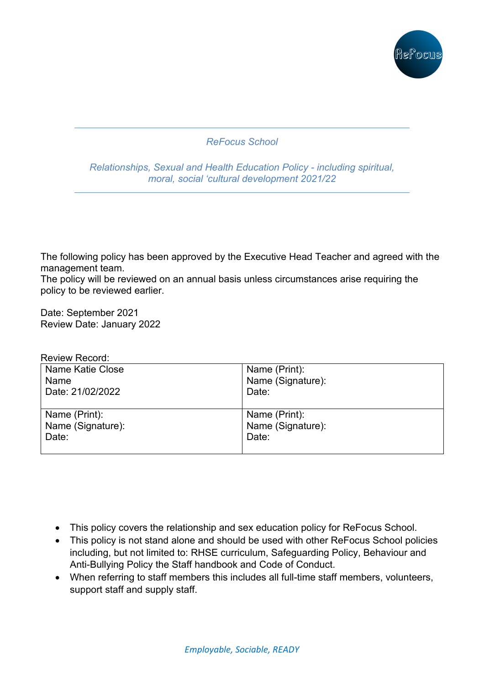

# *ReFocus School*

*Relationships, Sexual and Health Education Policy - including spiritual, moral, social 'cultural development 2021/22*

The following policy has been approved by the Executive Head Teacher and agreed with the management team.

The policy will be reviewed on an annual basis unless circumstances arise requiring the policy to be reviewed earlier.

Date: September 2021 Review Date: January 2022

#### Review Record:

| Name Katie Close  | Name (Print):     |
|-------------------|-------------------|
| Name              | Name (Signature): |
| Date: 21/02/2022  | Date:             |
| Name (Print):     | Name (Print):     |
| Name (Signature): | Name (Signature): |
| Date:             | Date:             |

- This policy covers the relationship and sex education policy for ReFocus School.
- This policy is not stand alone and should be used with other ReFocus School policies including, but not limited to: RHSE curriculum, Safeguarding Policy, Behaviour and Anti-Bullying Policy the Staff handbook and Code of Conduct.
- When referring to staff members this includes all full-time staff members, volunteers, support staff and supply staff.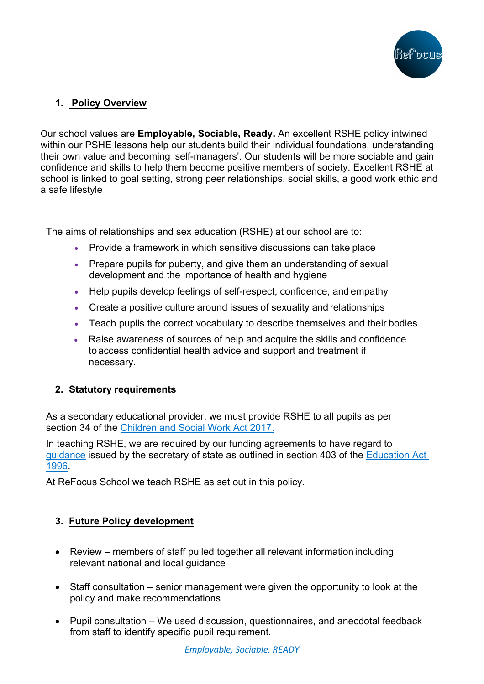

# **1. Policy Overview**

Our school values are **Employable, Sociable, Ready.** An excellent RSHE policy intwined within our PSHE lessons help our students build their individual foundations, understanding their own value and becoming 'self-managers'. Our students will be more sociable and gain confidence and skills to help them become positive members of society. Excellent RSHE at school is linked to goal setting, strong peer relationships, social skills, a good work ethic and a safe lifestyle

The aims of relationships and sex education (RSHE) at our school are to:

- Provide a framework in which sensitive discussions can take place
- Prepare pupils for puberty, and give them an understanding of sexual development and the importance of health and hygiene
- Help pupils develop feelings of self-respect, confidence, and empathy
- Create a positive culture around issues of sexuality and relationships
- Teach pupils the correct vocabulary to describe themselves and their bodies
- Raise awareness of sources of help and acquire the skills and confidence to access confidential health advice and support and treatment if necessary.

### **2. Statutory requirements**

As a secondary educational provider, we must provide RSHE to all pupils as per section 34 of the Children and Social Work Act 2017.

In teaching RSHE, we are required by our funding agreements to have regard to guidance issued by the secretary of state as outlined in section 403 of the Education Act 1996.

At ReFocus School we teach RSHE as set out in this policy.

### **3. Future Policy development**

- Review members of staff pulled together all relevant information including relevant national and local guidance
- Staff consultation senior management were given the opportunity to look at the policy and make recommendations
- Pupil consultation We used discussion, questionnaires, and anecdotal feedback from staff to identify specific pupil requirement.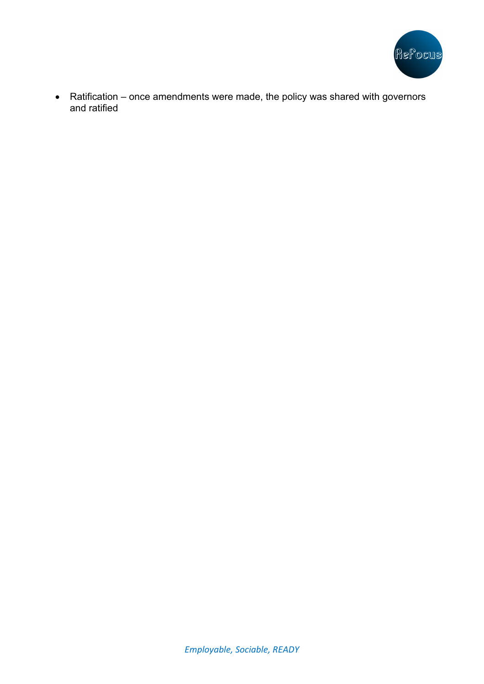

• Ratification – once amendments were made, the policy was shared with governors and ratified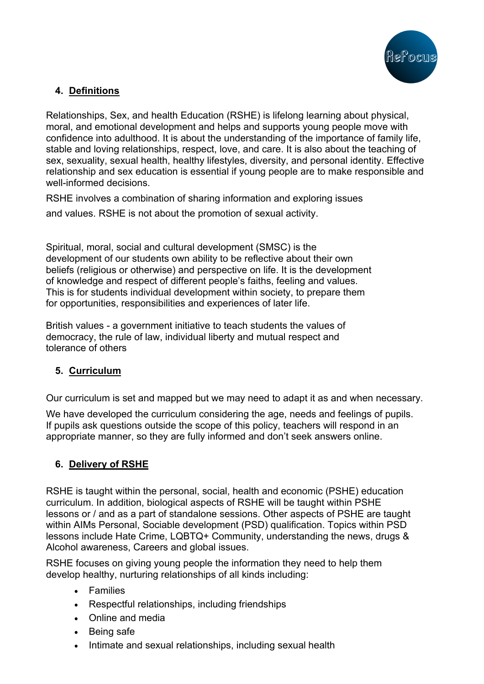

# **4. Definitions**

Relationships, Sex, and health Education (RSHE) is lifelong learning about physical, moral, and emotional development and helps and supports young people move with confidence into adulthood. It is about the understanding of the importance of family life, stable and loving relationships, respect, love, and care. It is also about the teaching of sex, sexuality, sexual health, healthy lifestyles, diversity, and personal identity. Effective relationship and sex education is essential if young people are to make responsible and well-informed decisions.

RSHE involves a combination of sharing information and exploring issues

and values. RSHE is not about the promotion of sexual activity.

Spiritual, moral, social and cultural development (SMSC) is the development of our students own ability to be reflective about their own beliefs (religious or otherwise) and perspective on life. It is the development of knowledge and respect of different people's faiths, feeling and values. This is for students individual development within society, to prepare them for opportunities, responsibilities and experiences of later life.

British values - a government initiative to teach students the values of democracy, the rule of law, individual liberty and mutual respect and tolerance of others

# **5. Curriculum**

Our curriculum is set and mapped but we may need to adapt it as and when necessary.

We have developed the curriculum considering the age, needs and feelings of pupils. If pupils ask questions outside the scope of this policy, teachers will respond in an appropriate manner, so they are fully informed and don't seek answers online.

# **6. Delivery of RSHE**

RSHE is taught within the personal, social, health and economic (PSHE) education curriculum. In addition, biological aspects of RSHE will be taught within PSHE lessons or / and as a part of standalone sessions. Other aspects of PSHE are taught within AIMs Personal, Sociable development (PSD) qualification. Topics within PSD lessons include Hate Crime, LQBTQ+ Community, understanding the news, drugs & Alcohol awareness, Careers and global issues.

RSHE focuses on giving young people the information they need to help them develop healthy, nurturing relationships of all kinds including:

- Families
- Respectful relationships, including friendships
- Online and media
- Being safe
- Intimate and sexual relationships, including sexual health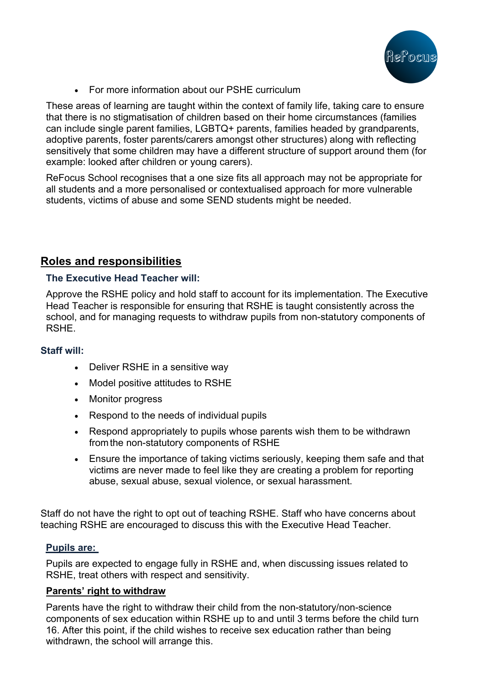

• For more information about our PSHE curriculum

These areas of learning are taught within the context of family life, taking care to ensure that there is no stigmatisation of children based on their home circumstances (families can include single parent families, LGBTQ+ parents, families headed by grandparents, adoptive parents, foster parents/carers amongst other structures) along with reflecting sensitively that some children may have a different structure of support around them (for example: looked after children or young carers).

ReFocus School recognises that a one size fits all approach may not be appropriate for all students and a more personalised or contextualised approach for more vulnerable students, victims of abuse and some SEND students might be needed.

# **Roles and responsibilities**

### **The Executive Head Teacher will:**

Approve the RSHE policy and hold staff to account for its implementation. The Executive Head Teacher is responsible for ensuring that RSHE is taught consistently across the school, and for managing requests to withdraw pupils from non-statutory components of RSHE.

#### **Staff will:**

- Deliver RSHE in a sensitive way
- Model positive attitudes to RSHE
- Monitor progress
- Respond to the needs of individual pupils
- Respond appropriately to pupils whose parents wish them to be withdrawn fromthe non-statutory components of RSHE
- Ensure the importance of taking victims seriously, keeping them safe and that victims are never made to feel like they are creating a problem for reporting abuse, sexual abuse, sexual violence, or sexual harassment.

Staff do not have the right to opt out of teaching RSHE. Staff who have concerns about teaching RSHE are encouraged to discuss this with the Executive Head Teacher.

#### **Pupils are:**

Pupils are expected to engage fully in RSHE and, when discussing issues related to RSHE, treat others with respect and sensitivity.

### **Parents' right to withdraw**

Parents have the right to withdraw their child from the non-statutory/non-science components of sex education within RSHE up to and until 3 terms before the child turn 16. After this point, if the child wishes to receive sex education rather than being withdrawn, the school will arrange this.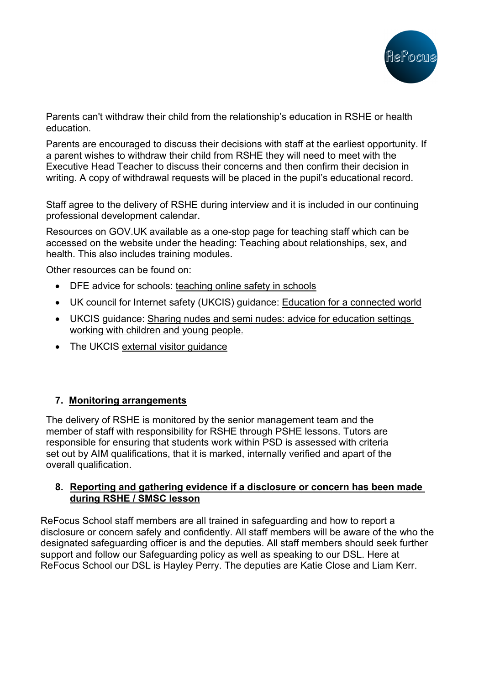

Parents can't withdraw their child from the relationship's education in RSHE or health education.

Parents are encouraged to discuss their decisions with staff at the earliest opportunity. If a parent wishes to withdraw their child from RSHE they will need to meet with the Executive Head Teacher to discuss their concerns and then confirm their decision in writing. A copy of withdrawal requests will be placed in the pupil's educational record.

Staff agree to the delivery of RSHE during interview and it is included in our continuing professional development calendar.

Resources on GOV.UK available as a one-stop page for teaching staff which can be accessed on the website under the heading: Teaching about relationships, sex, and health. This also includes training modules.

Other resources can be found on:

- DFE advice for schools: teaching online safety in schools
- UK council for Internet safety (UKCIS) guidance: Education for a connected world
- UKCIS guidance: Sharing nudes and semi nudes: advice for education settings working with children and young people.
- The UKCIS external visitor quidance

#### **7. Monitoring arrangements**

The delivery of RSHE is monitored by the senior management team and the member of staff with responsibility for RSHE through PSHE lessons. Tutors are responsible for ensuring that students work within PSD is assessed with criteria set out by AIM qualifications, that it is marked, internally verified and apart of the overall qualification.

#### **8. Reporting and gathering evidence if a disclosure or concern has been made during RSHE / SMSC lesson**

ReFocus School staff members are all trained in safeguarding and how to report a disclosure or concern safely and confidently. All staff members will be aware of the who the designated safeguarding officer is and the deputies. All staff members should seek further support and follow our Safeguarding policy as well as speaking to our DSL. Here at ReFocus School our DSL is Hayley Perry. The deputies are Katie Close and Liam Kerr.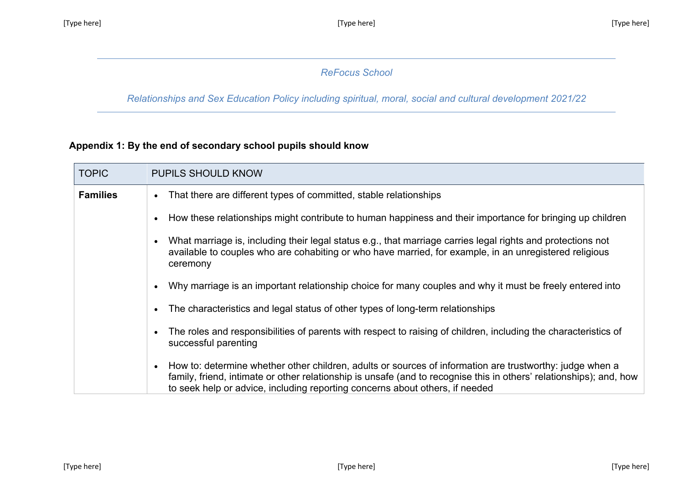# *ReFocus School*

*Relationships and Sex Education Policy including spiritual, moral, social and cultural development 2021/22*

# **Appendix 1: By the end of secondary school pupils should know**

| <b>TOPIC</b>    | <b>PUPILS SHOULD KNOW</b>                                                                                                                                                                                                                                                                                       |
|-----------------|-----------------------------------------------------------------------------------------------------------------------------------------------------------------------------------------------------------------------------------------------------------------------------------------------------------------|
| <b>Families</b> | That there are different types of committed, stable relationships                                                                                                                                                                                                                                               |
|                 | How these relationships might contribute to human happiness and their importance for bringing up children                                                                                                                                                                                                       |
|                 | What marriage is, including their legal status e.g., that marriage carries legal rights and protections not<br>available to couples who are cohabiting or who have married, for example, in an unregistered religious<br>ceremony                                                                               |
|                 | Why marriage is an important relationship choice for many couples and why it must be freely entered into                                                                                                                                                                                                        |
|                 | The characteristics and legal status of other types of long-term relationships                                                                                                                                                                                                                                  |
|                 | The roles and responsibilities of parents with respect to raising of children, including the characteristics of<br>successful parenting                                                                                                                                                                         |
|                 | How to: determine whether other children, adults or sources of information are trustworthy: judge when a<br>family, friend, intimate or other relationship is unsafe (and to recognise this in others' relationships); and, how<br>to seek help or advice, including reporting concerns about others, if needed |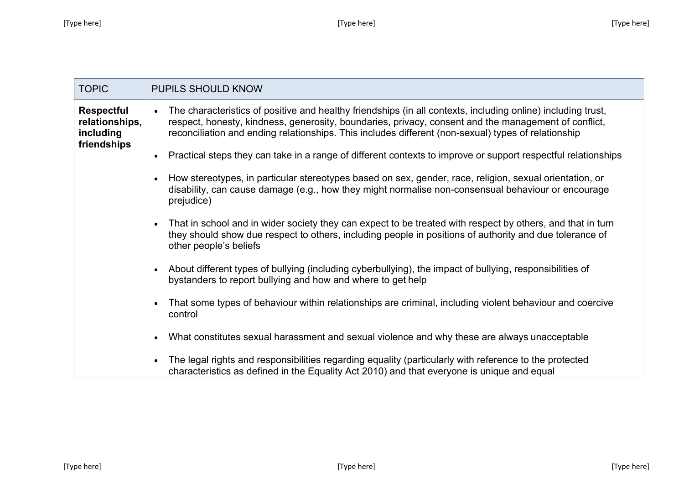| <b>TOPIC</b>                                                    | PUPILS SHOULD KNOW                                                                                                                                                                                                                                                                                                                       |
|-----------------------------------------------------------------|------------------------------------------------------------------------------------------------------------------------------------------------------------------------------------------------------------------------------------------------------------------------------------------------------------------------------------------|
| <b>Respectful</b><br>relationships,<br>including<br>friendships | The characteristics of positive and healthy friendships (in all contexts, including online) including trust,<br>$\bullet$<br>respect, honesty, kindness, generosity, boundaries, privacy, consent and the management of conflict,<br>reconciliation and ending relationships. This includes different (non-sexual) types of relationship |
|                                                                 | Practical steps they can take in a range of different contexts to improve or support respectful relationships<br>$\bullet$                                                                                                                                                                                                               |
|                                                                 | How stereotypes, in particular stereotypes based on sex, gender, race, religion, sexual orientation, or<br>$\bullet$<br>disability, can cause damage (e.g., how they might normalise non-consensual behaviour or encourage<br>prejudice)                                                                                                 |
|                                                                 | That in school and in wider society they can expect to be treated with respect by others, and that in turn<br>$\bullet$<br>they should show due respect to others, including people in positions of authority and due tolerance of<br>other people's beliefs                                                                             |
|                                                                 | About different types of bullying (including cyberbullying), the impact of bullying, responsibilities of<br>bystanders to report bullying and how and where to get help                                                                                                                                                                  |
|                                                                 | That some types of behaviour within relationships are criminal, including violent behaviour and coercive<br>$\bullet$<br>control                                                                                                                                                                                                         |
|                                                                 | What constitutes sexual harassment and sexual violence and why these are always unacceptable<br>$\bullet$                                                                                                                                                                                                                                |
|                                                                 | The legal rights and responsibilities regarding equality (particularly with reference to the protected<br>$\bullet$<br>characteristics as defined in the Equality Act 2010) and that everyone is unique and equal                                                                                                                        |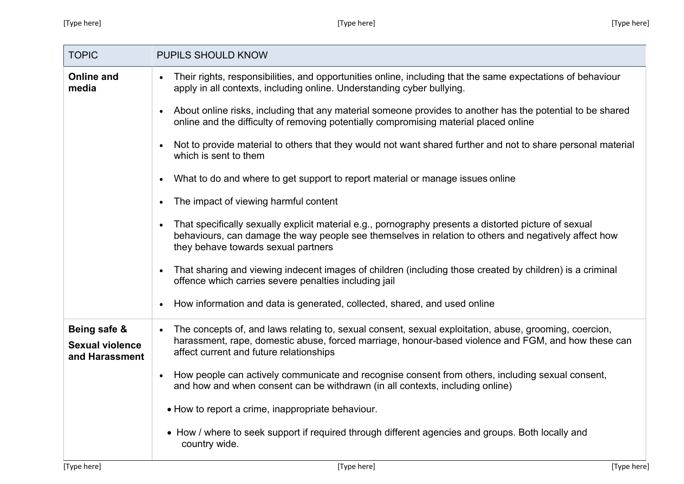| <b>TOPIC</b>                                             | <b>PUPILS SHOULD KNOW</b>                                                                                                                                                                                                                                             |
|----------------------------------------------------------|-----------------------------------------------------------------------------------------------------------------------------------------------------------------------------------------------------------------------------------------------------------------------|
| <b>Online and</b><br>media                               | Their rights, responsibilities, and opportunities online, including that the same expectations of behaviour<br>$\bullet$<br>apply in all contexts, including online. Understanding cyber bullying.                                                                    |
|                                                          | About online risks, including that any material someone provides to another has the potential to be shared<br>$\bullet$<br>online and the difficulty of removing potentially compromising material placed online                                                      |
|                                                          | Not to provide material to others that they would not want shared further and not to share personal material<br>which is sent to them                                                                                                                                 |
|                                                          | What to do and where to get support to report material or manage issues online<br>$\bullet$                                                                                                                                                                           |
|                                                          | The impact of viewing harmful content<br>$\bullet$                                                                                                                                                                                                                    |
|                                                          | That specifically sexually explicit material e.g., pornography presents a distorted picture of sexual<br>$\bullet$<br>behaviours, can damage the way people see themselves in relation to others and negatively affect how<br>they behave towards sexual partners     |
|                                                          | That sharing and viewing indecent images of children (including those created by children) is a criminal<br>$\bullet$<br>offence which carries severe penalties including jail                                                                                        |
|                                                          | How information and data is generated, collected, shared, and used online<br>$\bullet$                                                                                                                                                                                |
| Being safe &<br><b>Sexual violence</b><br>and Harassment | The concepts of, and laws relating to, sexual consent, sexual exploitation, abuse, grooming, coercion,<br>$\bullet$<br>harassment, rape, domestic abuse, forced marriage, honour-based violence and FGM, and how these can<br>affect current and future relationships |
|                                                          | How people can actively communicate and recognise consent from others, including sexual consent,<br>$\bullet$<br>and how and when consent can be withdrawn (in all contexts, including online)                                                                        |
|                                                          | • How to report a crime, inappropriate behaviour.                                                                                                                                                                                                                     |
|                                                          | • How / where to seek support if required through different agencies and groups. Both locally and<br>country wide.                                                                                                                                                    |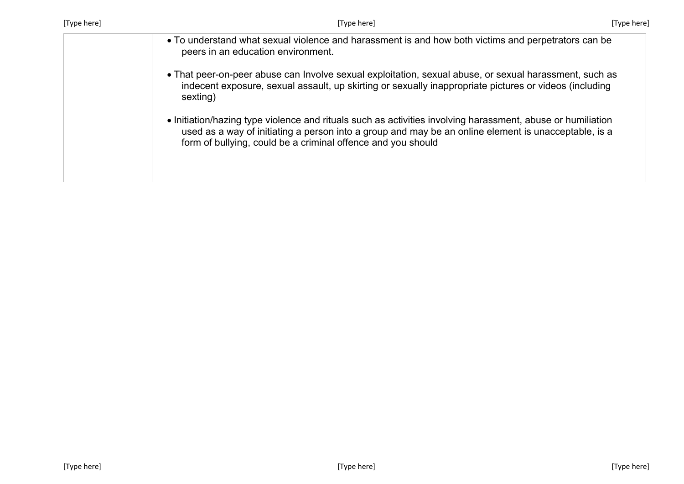| [Type here] | [Type here]                                                                                                                                                                                                                                                                         | [Type here] |
|-------------|-------------------------------------------------------------------------------------------------------------------------------------------------------------------------------------------------------------------------------------------------------------------------------------|-------------|
|             | • To understand what sexual violence and harassment is and how both victims and perpetrators can be<br>peers in an education environment.                                                                                                                                           |             |
|             | • That peer-on-peer abuse can Involve sexual exploitation, sexual abuse, or sexual harassment, such as<br>indecent exposure, sexual assault, up skirting or sexually inappropriate pictures or videos (including<br>sexting)                                                        |             |
|             | • Initiation/hazing type violence and rituals such as activities involving harassment, abuse or humiliation<br>used as a way of initiating a person into a group and may be an online element is unacceptable, is a<br>form of bullying, could be a criminal offence and you should |             |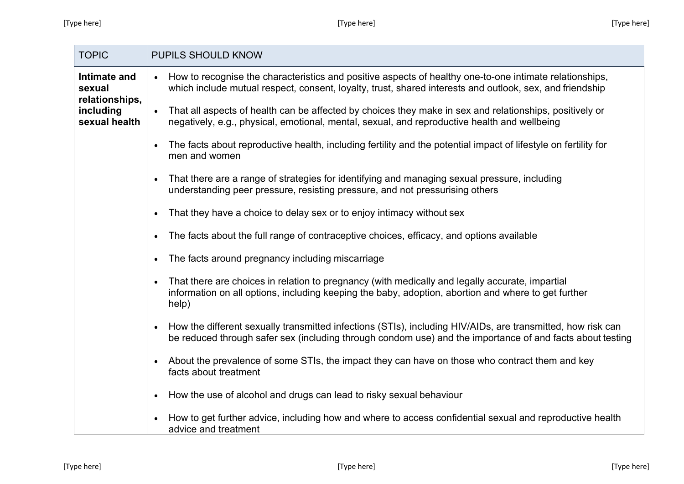**COL** 

| <b>TOPIC</b>                                                           | PUPILS SHOULD KNOW                                                                                                                                                                                                       |
|------------------------------------------------------------------------|--------------------------------------------------------------------------------------------------------------------------------------------------------------------------------------------------------------------------|
| Intimate and<br>sexual<br>relationships,<br>including<br>sexual health | • How to recognise the characteristics and positive aspects of healthy one-to-one intimate relationships,<br>which include mutual respect, consent, loyalty, trust, shared interests and outlook, sex, and friendship    |
|                                                                        | • That all aspects of health can be affected by choices they make in sex and relationships, positively or<br>negatively, e.g., physical, emotional, mental, sexual, and reproductive health and wellbeing                |
|                                                                        | The facts about reproductive health, including fertility and the potential impact of lifestyle on fertility for<br>men and women                                                                                         |
|                                                                        | That there are a range of strategies for identifying and managing sexual pressure, including<br>$\bullet$<br>understanding peer pressure, resisting pressure, and not pressurising others                                |
|                                                                        | That they have a choice to delay sex or to enjoy intimacy without sex                                                                                                                                                    |
|                                                                        | The facts about the full range of contraceptive choices, efficacy, and options available                                                                                                                                 |
|                                                                        | The facts around pregnancy including miscarriage<br>$\bullet$                                                                                                                                                            |
|                                                                        | That there are choices in relation to pregnancy (with medically and legally accurate, impartial<br>information on all options, including keeping the baby, adoption, abortion and where to get further<br>help)          |
|                                                                        | How the different sexually transmitted infections (STIs), including HIV/AIDs, are transmitted, how risk can<br>be reduced through safer sex (including through condom use) and the importance of and facts about testing |
|                                                                        | About the prevalence of some STIs, the impact they can have on those who contract them and key<br>facts about treatment                                                                                                  |
|                                                                        | How the use of alcohol and drugs can lead to risky sexual behaviour<br>$\bullet$                                                                                                                                         |
|                                                                        | How to get further advice, including how and where to access confidential sexual and reproductive health<br>advice and treatment                                                                                         |